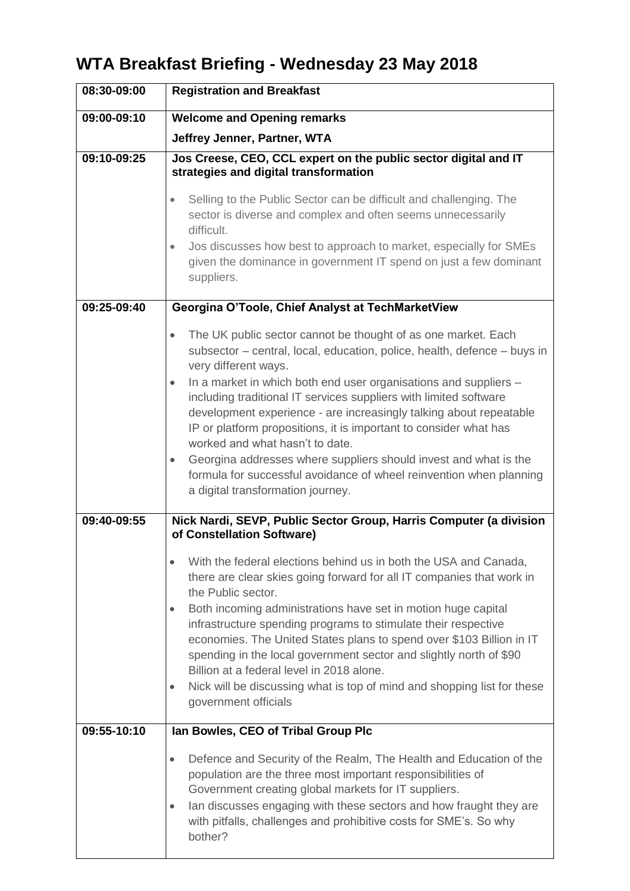# **WTA Breakfast Briefing - Wednesday 23 May 2018**

| 08:30-09:00 | <b>Registration and Breakfast</b>                                                                                                                                                                                                                                                                                                                                                                                                                                                                                                                                                                                                                                                                               |
|-------------|-----------------------------------------------------------------------------------------------------------------------------------------------------------------------------------------------------------------------------------------------------------------------------------------------------------------------------------------------------------------------------------------------------------------------------------------------------------------------------------------------------------------------------------------------------------------------------------------------------------------------------------------------------------------------------------------------------------------|
| 09:00-09:10 | <b>Welcome and Opening remarks</b>                                                                                                                                                                                                                                                                                                                                                                                                                                                                                                                                                                                                                                                                              |
|             | Jeffrey Jenner, Partner, WTA                                                                                                                                                                                                                                                                                                                                                                                                                                                                                                                                                                                                                                                                                    |
| 09:10-09:25 | Jos Creese, CEO, CCL expert on the public sector digital and IT<br>strategies and digital transformation<br>Selling to the Public Sector can be difficult and challenging. The<br>sector is diverse and complex and often seems unnecessarily<br>difficult.<br>Jos discusses how best to approach to market, especially for SMEs<br>$\bullet$<br>given the dominance in government IT spend on just a few dominant<br>suppliers.                                                                                                                                                                                                                                                                                |
| 09:25-09:40 | Georgina O'Toole, Chief Analyst at TechMarketView                                                                                                                                                                                                                                                                                                                                                                                                                                                                                                                                                                                                                                                               |
|             | The UK public sector cannot be thought of as one market. Each<br>$\bullet$<br>subsector – central, local, education, police, health, defence – buys in<br>very different ways.<br>In a market in which both end user organisations and suppliers -<br>$\bullet$<br>including traditional IT services suppliers with limited software<br>development experience - are increasingly talking about repeatable<br>IP or platform propositions, it is important to consider what has<br>worked and what hasn't to date.<br>Georgina addresses where suppliers should invest and what is the<br>$\bullet$<br>formula for successful avoidance of wheel reinvention when planning<br>a digital transformation journey. |
| 09:40-09:55 | Nick Nardi, SEVP, Public Sector Group, Harris Computer (a division<br>of Constellation Software)                                                                                                                                                                                                                                                                                                                                                                                                                                                                                                                                                                                                                |
|             | With the federal elections behind us in both the USA and Canada,<br>there are clear skies going forward for all IT companies that work in<br>the Public sector.<br>Both incoming administrations have set in motion huge capital<br>$\bullet$<br>infrastructure spending programs to stimulate their respective<br>economies. The United States plans to spend over \$103 Billion in IT<br>spending in the local government sector and slightly north of \$90<br>Billion at a federal level in 2018 alone.<br>Nick will be discussing what is top of mind and shopping list for these<br>$\bullet$<br>government officials                                                                                      |
| 09:55-10:10 | lan Bowles, CEO of Tribal Group Plc                                                                                                                                                                                                                                                                                                                                                                                                                                                                                                                                                                                                                                                                             |
|             | Defence and Security of the Realm, The Health and Education of the<br>$\bullet$<br>population are the three most important responsibilities of<br>Government creating global markets for IT suppliers.<br>lan discusses engaging with these sectors and how fraught they are<br>$\bullet$<br>with pitfalls, challenges and prohibitive costs for SME's. So why<br>bother?                                                                                                                                                                                                                                                                                                                                       |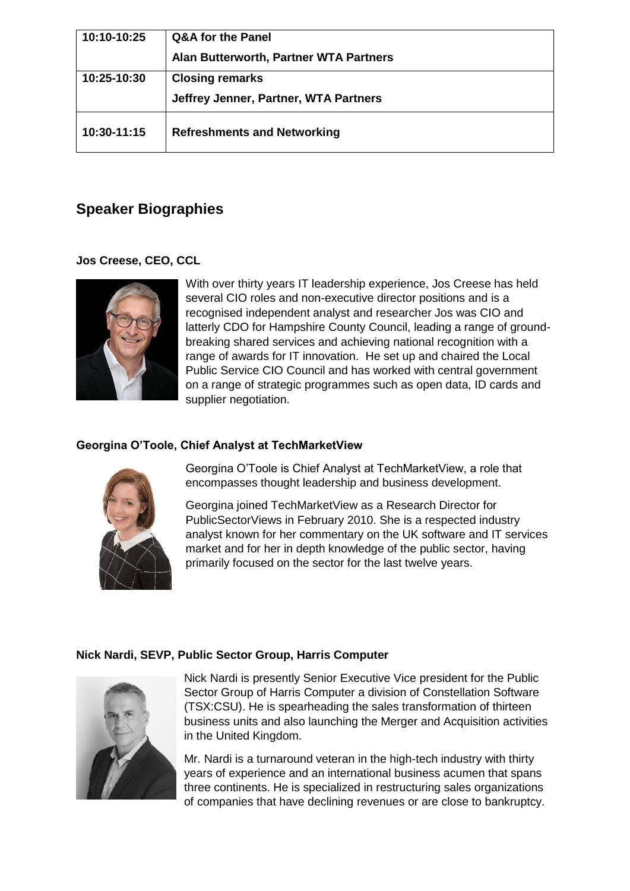| 10:10-10:25 | <b>Q&amp;A for the Panel</b>           |
|-------------|----------------------------------------|
|             | Alan Butterworth, Partner WTA Partners |
| 10:25-10:30 | <b>Closing remarks</b>                 |
|             | Jeffrey Jenner, Partner, WTA Partners  |
| 10:30-11:15 | <b>Refreshments and Networking</b>     |

# **Speaker Biographies**

### **Jos Creese, CEO, CCL**



With over thirty years IT leadership experience, Jos Creese has held several CIO roles and non-executive director positions and is a recognised independent analyst and researcher Jos was CIO and latterly CDO for Hampshire County Council, leading a range of groundbreaking shared services and achieving national recognition with a range of awards for IT innovation. He set up and chaired the Local Public Service CIO Council and has worked with central government on a range of strategic programmes such as open data, ID cards and supplier negotiation.

## **Georgina O'Toole, Chief Analyst at TechMarketView**



Georgina O'Toole is Chief Analyst at TechMarketView, a role that encompasses thought leadership and business development.

Georgina joined TechMarketView as a Research Director for PublicSectorViews in February 2010. She is a respected industry analyst known for her commentary on the UK software and IT services market and for her in depth knowledge of the public sector, having primarily focused on the sector for the last twelve years.

#### **Nick Nardi, SEVP, Public Sector Group, Harris Computer**



Nick Nardi is presently Senior Executive Vice president for the Public Sector Group of Harris Computer a division of Constellation Software (TSX:CSU). He is spearheading the sales transformation of thirteen business units and also launching the Merger and Acquisition activities in the United Kingdom.

Mr. Nardi is a turnaround veteran in the high-tech industry with thirty years of experience and an international business acumen that spans three continents. He is specialized in restructuring sales organizations of companies that have declining revenues or are close to bankruptcy.